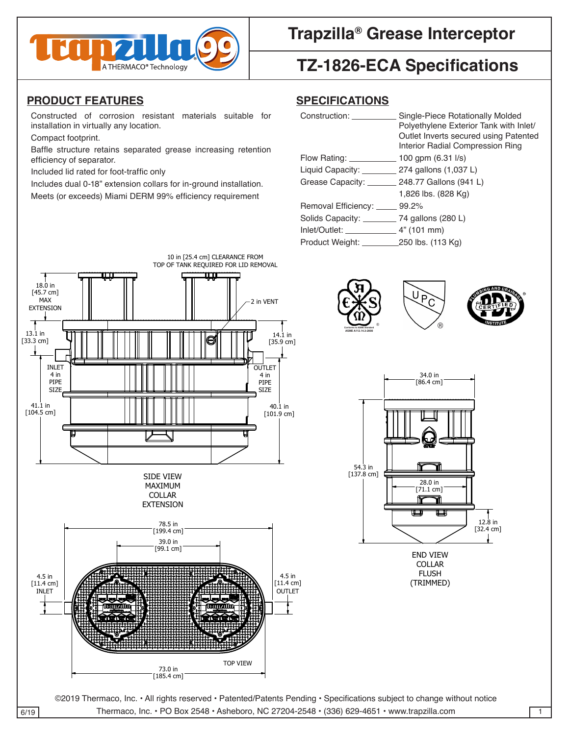

### **Trapzilla® Grease Interceptor**

# **TZ-1826-ECA Specifications** 2

### <u>PRODUCT FEATURES</u>

#### **SPECIFICATIONS**

| Constructed of corrosion resistant materials suitable for<br>installation in virtually any location.                          | Single-Piece Rotationally Molded<br>Construction:<br>Polyethylene Exterior Tank with Inlet/<br>Outlet Inverts secured using Patented |                                                                                                                 |
|-------------------------------------------------------------------------------------------------------------------------------|--------------------------------------------------------------------------------------------------------------------------------------|-----------------------------------------------------------------------------------------------------------------|
| Compact footprint.                                                                                                            |                                                                                                                                      |                                                                                                                 |
| Baffle structure retains separated grease increasing retention                                                                |                                                                                                                                      |                                                                                                                 |
| efficiency of separator.                                                                                                      | Flow Rating: _                                                                                                                       |                                                                                                                 |
| Included lid rated for foot-traffic only                                                                                      | Liquid Capacity: _                                                                                                                   | 274 gallons (1,037 L)                                                                                           |
| Includes dual 0-18" extension collars for in-ground installation.<br>Meets (or exceeds) Miami DERM 99% efficiency requirement | Grease Capacity:                                                                                                                     | 248.77 Gallons (941 L)                                                                                          |
|                                                                                                                               |                                                                                                                                      | 1,826 lbs. (828 Kg)                                                                                             |
|                                                                                                                               | Removal Efficiency: _____                                                                                                            | Interior Radial Compression Ring<br>100 gpm (6.31 l/s)<br>99.2%<br>280 L<br>. 4" (101 mm)<br>_250 lbs. (113 Kg) |
|                                                                                                                               |                                                                                                                                      |                                                                                                                 |
|                                                                                                                               | Solids Capacity:<br>Inlet/Outlet:                                                                                                    |                                                                                                                 |
|                                                                                                                               | Product Weight:                                                                                                                      |                                                                                                                 |
|                                                                                                                               |                                                                                                                                      |                                                                                                                 |









FINISH (UNLESS NOTED) FLUSH (TRIMMED)

©2019 Thermaco, Inc. • All rights reserved • Patented/Patents Pending • Specifications subject to change without notice  $\overline{6/19}$  Thermaco, Inc. • PO Box 2548 • Asheboro, NC 27204-2548 • (336) 629-4651 • www.trapzilla.com 1

PART NO. C

DRAWN DATE

CHECKED SIZE REV. NO. DWG NO.

CHECKED SIZE REV. NO. DWG NO.

PART NO. C

DRAWN DATE